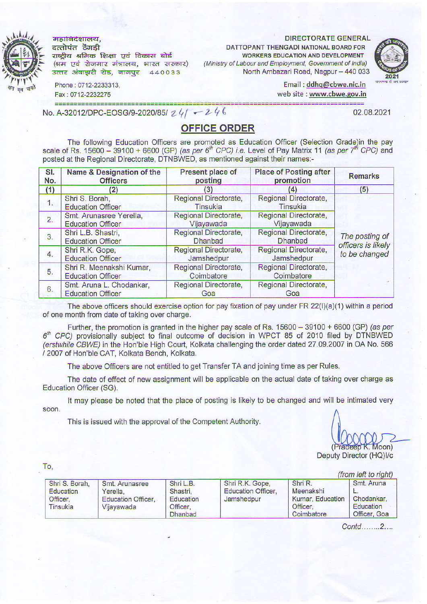महानिदेशालय. दत्तोपंत ठेंगडी

राष्ट्रीय श्रमिक शिक्षा एवं विकास बोर्ड (श्रम एवं रोजगार मंत्रालय, भारत सरकार) उत्तर अंबाझरी रोड, नागपुर 440033

DIRECTORATE GENERAL

DATTOPANT THENGADI NATIONAL BOARD FOR WORKERS EDUCATION AND DEVELOPMENT (Ministry of Labour and Employment, Government of India) North Ambazari Road, Nagpur - 440 033



02.08.2021

Phone: 0712-2233313, Fax: 0712-2232275

Email: ddhg@cbwe.nic.in web site : www.cbwe.qov.in

No. A-32012/DPC-EOSG/9-2020/85/ 24/ - 246

## OFFICE ORDER

The following Education Officers are promoted as Education Officer (Selection Grade)in the pay scale of Rs. 15600 - 39100 + 6600 (GP) (as per  $6<sup>th</sup>$  CPC) i.e. Level of Pay Matrix 11 (as per 7<sup>th</sup> CPC) and posted at the Regional Directorate, DTNBWED, as mentioned against their names:-

| SI.<br>No. | Name & Designation of the<br><b>Officers</b>                                                                                      | Present place of<br>posting             | <b>Place of Posting after</b><br>promotion | <b>Remarks</b>                                        |
|------------|-----------------------------------------------------------------------------------------------------------------------------------|-----------------------------------------|--------------------------------------------|-------------------------------------------------------|
| (1)        | (2)                                                                                                                               | (3)                                     | (4)                                        | (5)                                                   |
| 1.         | Shri S. Borah,<br><b>Education Officer</b>                                                                                        | Regional Directorate,<br>Tinsukia       | Regional Directorate,<br>Tinsukia          |                                                       |
| 2.         | Regional Directorate,<br>Regional Directorate,<br>Smt. Arunasree Yerella,<br>Vijayawada<br>Vijayawada<br><b>Education Officer</b> |                                         |                                            |                                                       |
| 3.         | Shri L.B. Shastri,<br><b>Education Officer</b>                                                                                    | Regional Directorate,<br><b>Dhanbad</b> | Regional Directorate,<br><b>Dhanbad</b>    | The posting of<br>officers is likely<br>to be changed |
| 4.         | Shri R.K. Gope,<br><b>Education Officer</b>                                                                                       | Regional Directorate,<br>Jamshedpur     | Regional Directorate,<br>Jamshedpur        |                                                       |
| 5.         | Shri R. Meenakshi Kumar,<br><b>Education Officer</b>                                                                              | Regional Directorate,<br>Coimbatore     | Regional Directorate,<br>Coimbatore        |                                                       |
| 6.         | Smt. Aruna L. Chodankar,<br><b>Education Officer</b>                                                                              | Regional Directorate,<br>Goa            | Regional Directorate,<br>Goa               |                                                       |

of one month from date of taking over charge. The above officers should exercise option for pay fixation of pay under FR  $22(1)(a)(1)$  within a period

Further, the promotion is granted in the higher pay scale of Rs.  $15600 - 39100 + 6600$  (GP) (as per  $6<sup>th</sup>$  CPC) provisionally subject to final outcome of decision in WPCT 85 of 2010 filed by DTNBWED (erstwhile CBWE) in the Hon'ble High Court, Kolkata challenging the order dated 27.09.2007 in OA No. 566 / 2007 of Hon'ble CAT. Kolkata Bench. Kolkata.

The above Officers are not entitled to get Transfer TA and joining time as per Rules.

The date of effeci of new assignment will be applicable on the actual date of taking over charge as Education Officer (SG).

It may please be noted that the place of posting is likely to be changed and will be intimated very soon.

This is issued with the approval of the Competent Authority.

 $Mon$ Deputy Director (HQ)I/c

To,

|                                                     |                                                                       |                                                                  |                                                            |                                                                    | (from left to right)                                  |
|-----------------------------------------------------|-----------------------------------------------------------------------|------------------------------------------------------------------|------------------------------------------------------------|--------------------------------------------------------------------|-------------------------------------------------------|
| Shri S. Borah,<br>Education<br>Officer.<br>Tinsukia | Smt. Arunasree<br>Yerella.<br><b>Education Officer.</b><br>Vijayawada | Shri L.B.<br>Shastri.<br>Education<br>Officer.<br><b>Dhanbad</b> | Shri R.K. Gope,<br><b>Education Officer.</b><br>Jamshedpur | Shri R.<br>Meenakshi<br>Kumar, Education<br>Officer.<br>Coimbatore | Smt. Aruna<br>Chodankar.<br>Education<br>Officer, Goa |

Contd........2....